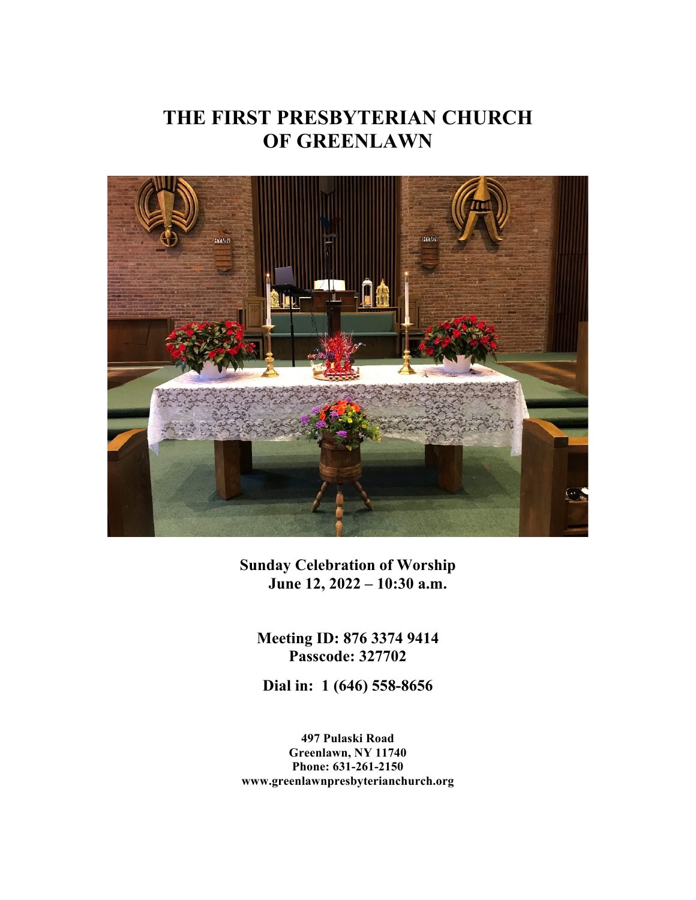### **THE FIRST PRESBYTERIAN CHURCH OF GREENLAWN**



**Sunday Celebration of Worship June 12, 2022 – 10:30 a.m.**

**Meeting ID: 876 3374 9414 Passcode: 327702**

**Dial in: 1 (646) 558-8656**

**497 Pulaski Road Greenlawn, NY 11740 Phone: 631-261-2150 www.greenlawnpresbyterianchurch.org**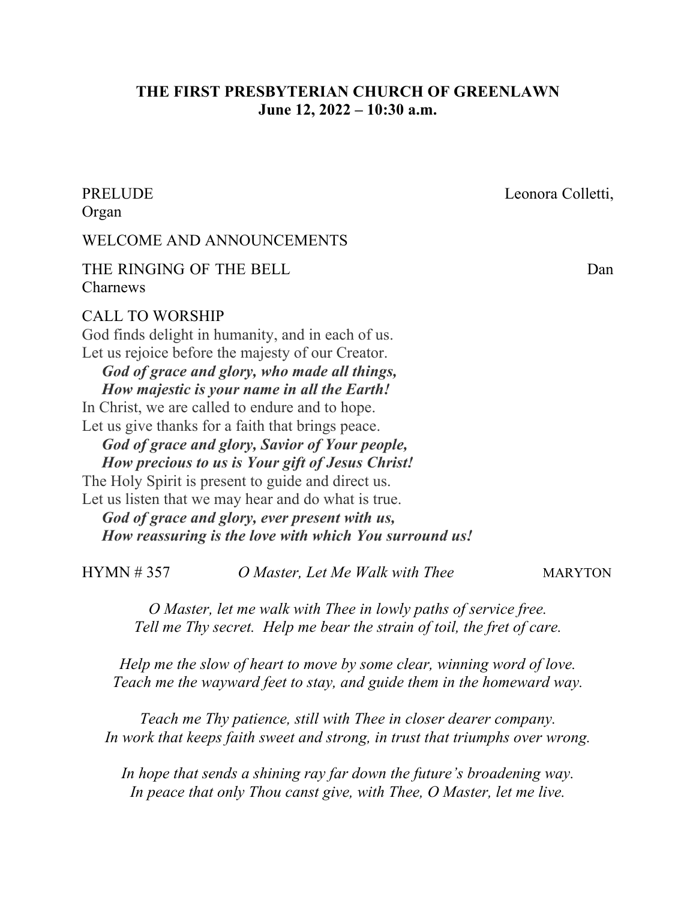#### **THE FIRST PRESBYTERIAN CHURCH OF GREENLAWN June 12, 2022 – 10:30 a.m.**

# Organ

WELCOME AND ANNOUNCEMENTS

#### THE RINGING OF THE BELL Dan Charnews

#### CALL TO WORSHIP

God finds delight in humanity, and in each of us. Let us rejoice before the majesty of our Creator. *God of grace and glory, who made all things, How majestic is your name in all the Earth!* In Christ, we are called to endure and to hope.

Let us give thanks for a faith that brings peace.

### *God of grace and glory, Savior of Your people, How precious to us is Your gift of Jesus Christ!*

The Holy Spirit is present to guide and direct us. Let us listen that we may hear and do what is true.

 *God of grace and glory, ever present with us, How reassuring is the love with which You surround us!*

HYMN # 357 *O Master, Let Me Walk with Thee* MARYTON

*O Master, let me walk with Thee in lowly paths of service free. Tell me Thy secret. Help me bear the strain of toil, the fret of care.*

*Help me the slow of heart to move by some clear, winning word of love. Teach me the wayward feet to stay, and guide them in the homeward way.*

*Teach me Thy patience, still with Thee in closer dearer company. In work that keeps faith sweet and strong, in trust that triumphs over wrong.*

*In hope that sends a shining ray far down the future's broadening way. In peace that only Thou canst give, with Thee, O Master, let me live.*

PRELUDE Leonora Colletti,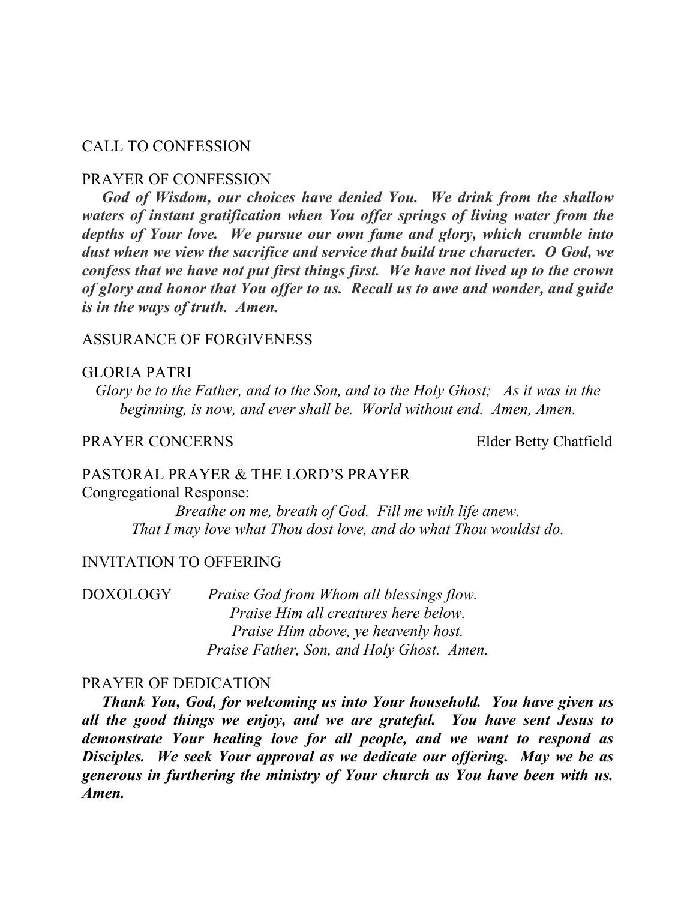#### CALL TO CONFESSION

#### PRAYER OF CONFESSION

 *God of Wisdom, our choices have denied You. We drink from the shallow waters of instant gratification when You offer springs of living water from the depths of Your love. We pursue our own fame and glory, which crumble into dust when we view the sacrifice and service that build true character. O God, we confess that we have not put first things first. We have not lived up to the crown of glory and honor that You offer to us. Recall us to awe and wonder, and guide is in the ways of truth. Amen.* 

#### ASSURANCE OF FORGIVENESS

#### GLORIA PATRI

*Glory be to the Father, and to the Son, and to the Holy Ghost; As it was in the beginning, is now, and ever shall be. World without end. Amen, Amen.*

#### PRAYER CONCERNS Elder Betty Chatfield

#### PASTORAL PRAYER & THE LORD'S PRAYER Congregational Response:

*Breathe on me, breath of God. Fill me with life anew. That I may love what Thou dost love, and do what Thou wouldst do.*

#### INVITATION TO OFFERING

#### DOXOLOGY *Praise God from Whom all blessings flow. Praise Him all creatures here below. Praise Him above, ye heavenly host. Praise Father, Son, and Holy Ghost. Amen.*

#### PRAYER OF DEDICATION

 *Thank You, God, for welcoming us into Your household. You have given us all the good things we enjoy, and we are grateful. You have sent Jesus to demonstrate Your healing love for all people, and we want to respond as Disciples. We seek Your approval as we dedicate our offering. May we be as generous in furthering the ministry of Your church as You have been with us. Amen.*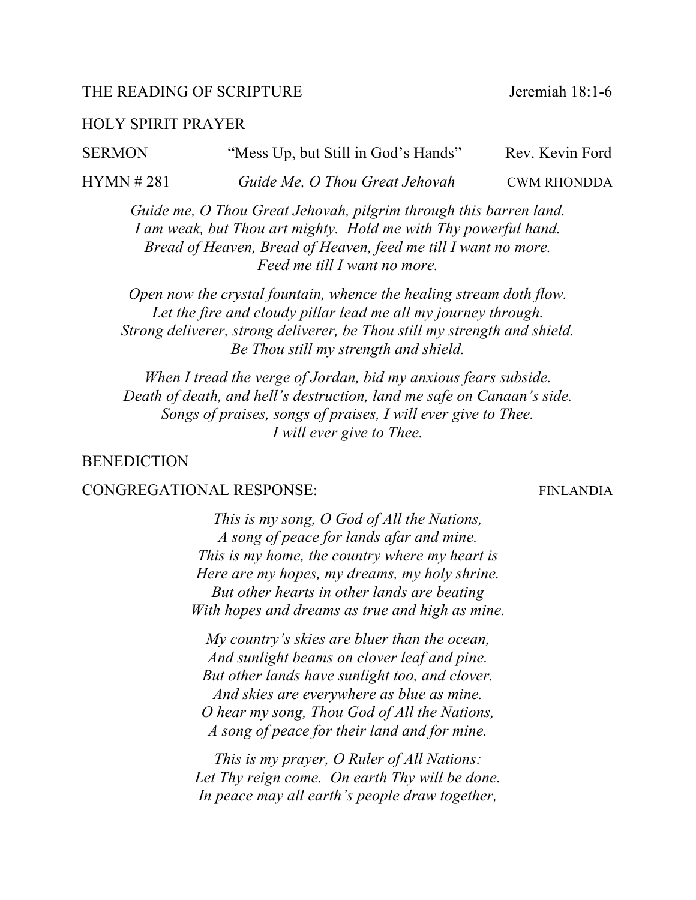#### THE READING OF SCRIPTURE Jeremiah 18:1-6

#### HOLY SPIRIT PRAYER

SERMON "Mess Up, but Still in God's Hands" Rev. Kevin Ford

#### HYMN # 281 *Guide Me, O Thou Great Jehovah* CWM RHONDDA

*Guide me, O Thou Great Jehovah, pilgrim through this barren land. I am weak, but Thou art mighty. Hold me with Thy powerful hand. Bread of Heaven, Bread of Heaven, feed me till I want no more. Feed me till I want no more.*

*Open now the crystal fountain, whence the healing stream doth flow. Let the fire and cloudy pillar lead me all my journey through. Strong deliverer, strong deliverer, be Thou still my strength and shield. Be Thou still my strength and shield.*

*When I tread the verge of Jordan, bid my anxious fears subside. Death of death, and hell's destruction, land me safe on Canaan's side. Songs of praises, songs of praises, I will ever give to Thee. I will ever give to Thee.* 

#### **BENEDICTION**

#### CONGREGATIONAL RESPONSE: FINLANDIA

*This is my song, O God of All the Nations, A song of peace for lands afar and mine. This is my home, the country where my heart is Here are my hopes, my dreams, my holy shrine. But other hearts in other lands are beating With hopes and dreams as true and high as mine.*

*My country's skies are bluer than the ocean, And sunlight beams on clover leaf and pine. But other lands have sunlight too, and clover. And skies are everywhere as blue as mine. O hear my song, Thou God of All the Nations, A song of peace for their land and for mine.*

*This is my prayer, O Ruler of All Nations: Let Thy reign come. On earth Thy will be done. In peace may all earth's people draw together,*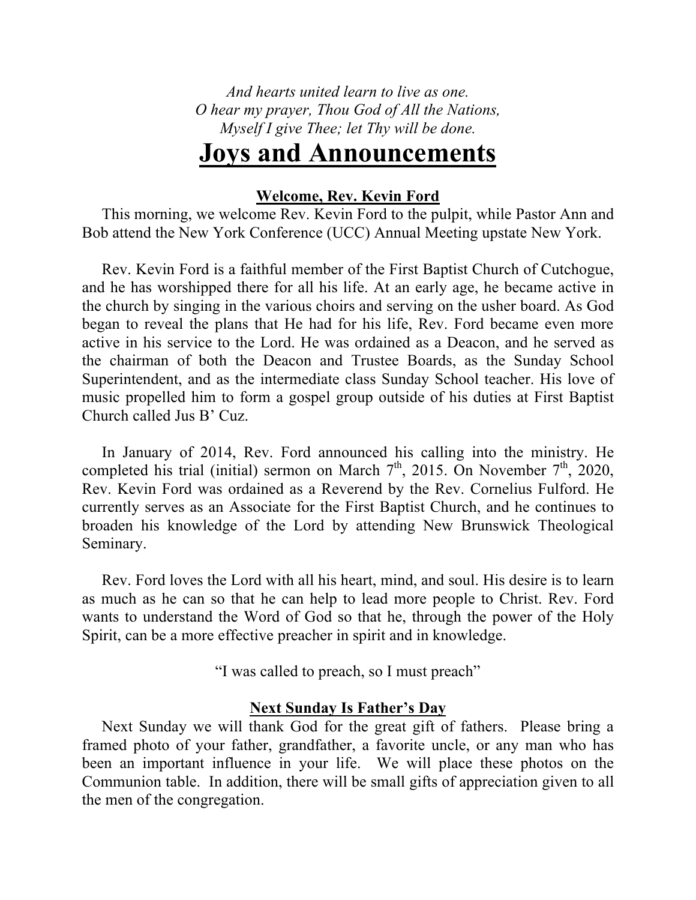*And hearts united learn to live as one. O hear my prayer, Thou God of All the Nations, Myself I give Thee; let Thy will be done.*

## **Joys and Announcements**

#### **Welcome, Rev. Kevin Ford**

 This morning, we welcome Rev. Kevin Ford to the pulpit, while Pastor Ann and Bob attend the New York Conference (UCC) Annual Meeting upstate New York.

 Rev. Kevin Ford is a faithful member of the First Baptist Church of Cutchogue, and he has worshipped there for all his life. At an early age, he became active in the church by singing in the various choirs and serving on the usher board. As God began to reveal the plans that He had for his life, Rev. Ford became even more active in his service to the Lord. He was ordained as a Deacon, and he served as the chairman of both the Deacon and Trustee Boards, as the Sunday School Superintendent, and as the intermediate class Sunday School teacher. His love of music propelled him to form a gospel group outside of his duties at First Baptist Church called Jus B' Cuz.

 In January of 2014, Rev. Ford announced his calling into the ministry. He completed his trial (initial) sermon on March  $7<sup>th</sup>$ , 2015. On November  $7<sup>th</sup>$ , 2020, Rev. Kevin Ford was ordained as a Reverend by the Rev. Cornelius Fulford. He currently serves as an Associate for the First Baptist Church, and he continues to broaden his knowledge of the Lord by attending New Brunswick Theological Seminary.

 Rev. Ford loves the Lord with all his heart, mind, and soul. His desire is to learn as much as he can so that he can help to lead more people to Christ. Rev. Ford wants to understand the Word of God so that he, through the power of the Holy Spirit, can be a more effective preacher in spirit and in knowledge.

"I was called to preach, so I must preach"

#### **Next Sunday Is Father's Day**

 Next Sunday we will thank God for the great gift of fathers. Please bring a framed photo of your father, grandfather, a favorite uncle, or any man who has been an important influence in your life. We will place these photos on the Communion table. In addition, there will be small gifts of appreciation given to all the men of the congregation.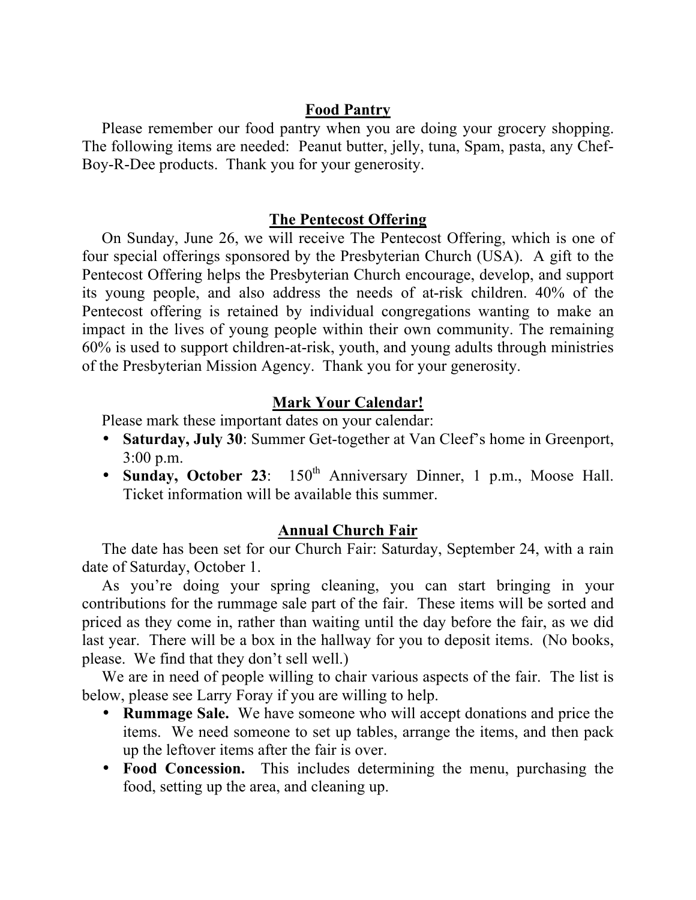#### **Food Pantry**

 Please remember our food pantry when you are doing your grocery shopping. The following items are needed: Peanut butter, jelly, tuna, Spam, pasta, any Chef-Boy-R-Dee products. Thank you for your generosity.

### **The Pentecost Offering**

 On Sunday, June 26, we will receive The Pentecost Offering, which is one of four special offerings sponsored by the Presbyterian Church (USA). A gift to the Pentecost Offering helps the Presbyterian Church encourage, develop, and support its young people, and also address the needs of at-risk children. 40% of the Pentecost offering is retained by individual congregations wanting to make an impact in the lives of young people within their own community. The remaining 60% is used to support children-at-risk, youth, and young adults through ministries of the Presbyterian Mission Agency. Thank you for your generosity.

### **Mark Your Calendar!**

Please mark these important dates on your calendar:

- **Saturday, July 30**: Summer Get-together at Van Cleef's home in Greenport, 3:00 p.m.
- **Sunday, October 23**: 150<sup>th</sup> Anniversary Dinner, 1 p.m., Moose Hall. Ticket information will be available this summer.

### **Annual Church Fair**

 The date has been set for our Church Fair: Saturday, September 24, with a rain date of Saturday, October 1.

 As you're doing your spring cleaning, you can start bringing in your contributions for the rummage sale part of the fair. These items will be sorted and priced as they come in, rather than waiting until the day before the fair, as we did last year. There will be a box in the hallway for you to deposit items. (No books, please. We find that they don't sell well.)

 We are in need of people willing to chair various aspects of the fair. The list is below, please see Larry Foray if you are willing to help.

- **Rummage Sale.** We have someone who will accept donations and price the items. We need someone to set up tables, arrange the items, and then pack up the leftover items after the fair is over.
- **Food Concession.** This includes determining the menu, purchasing the food, setting up the area, and cleaning up.